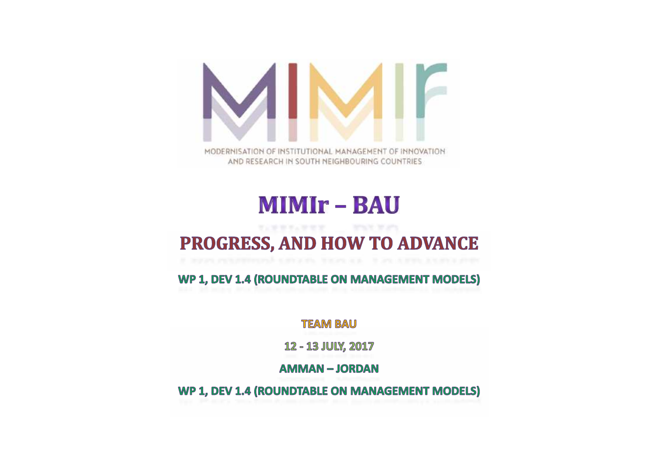

# **MIMIr - BAU**

#### PROGRESS, AND HOW TO ADVANCE

WP 1, DEV 1.4 (ROUNDTABLE ON MANAGEMENT MODELS)

**TEAM BAU** 

12 - 13 JULY, 2017

**AMMAN-JORDAN** 

WP 1, DEV 1.4 (ROUNDTABLE ON MANAGEMENT MODELS)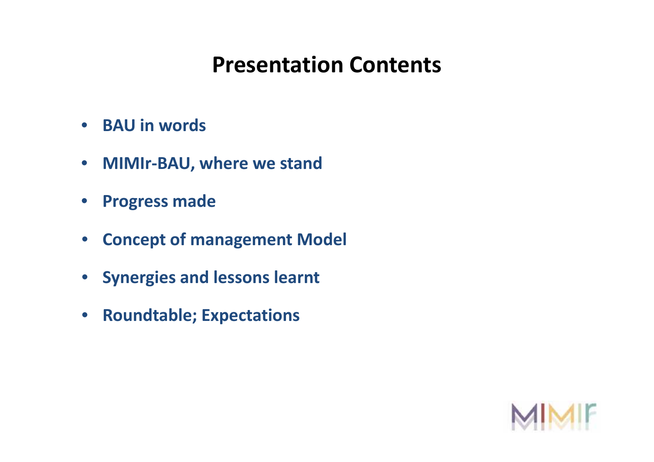# **Presentation Contents**

- **BAU in words words**
- **MIMIr-BAU, where we stand**
- **Progress made**
- **Concept of management Model**
- **Synergies and lessons learnt**
- **Roundtable; Expectations**

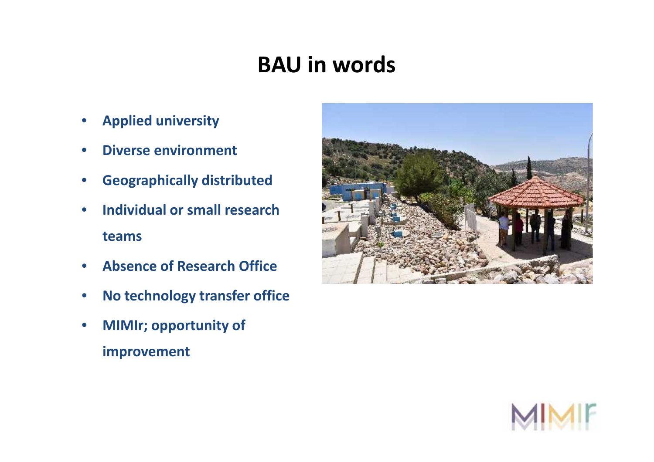# **BAU in words**

- **Applied university**
- **Diverse environment**
- **Geographically distributed**
- **Individual or small research teams university<br>environment<br>bically distrik<br>al or small respearch**<br>**Post Research**
- **Absence of Research Office**
- **No technology transfer office**
- **MIMIr; opportunity of improvement**



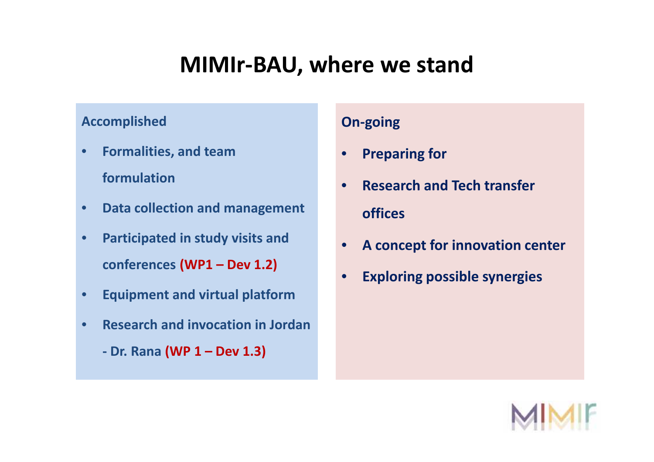#### **MIMIr-BAU, where we stand**

#### **Accomplished**

- **Formalities, and team formulation •** Formalities, and team<br>
formulation<br>
• Data collection and management
- 
- **Participated in study visits and**<br> **•** conferences (WP1 Dev 1.2) **conferences (WP1 – Dev 1.2)**
- **•** Equipment and virtual platform **Figure 1.1 The State of Terminal Point 1.1 The State 1.1 The State 1.1 The State 1.1 The State 1.1 The State 1.1 The State 1.1 The State 1.1 The State 1.1 The State 1.1 The State 1.1 The**
- **Research and invocation in Jordan** •
	- **- Dr. Rana (WP 1 – Dev 1.3)**

#### **On-going**

- **Preparing for**
- **Research and Tech transfer offices <sup>1</sup> Dev** ••**transfer**••
	- **A concept for innovation center**
	- **Exploring possible synergies**

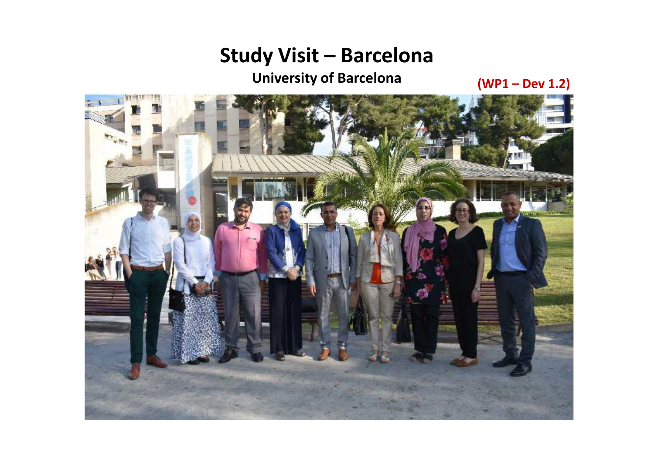**University of Barcelona (WP1 – Dev 1.2)**

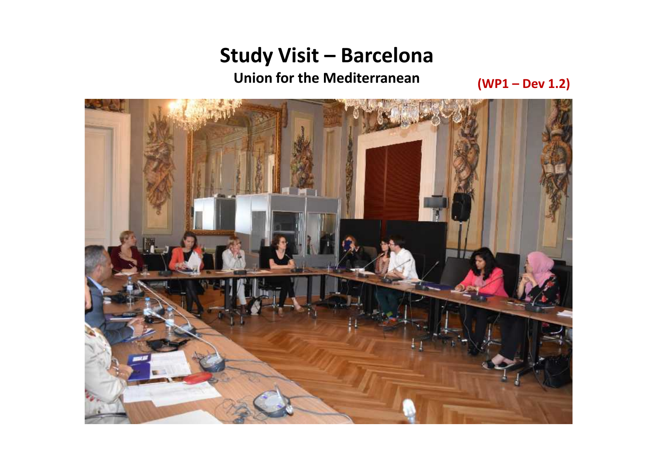**Union for the Mediterranean (WP1 – Dev 1.2)**

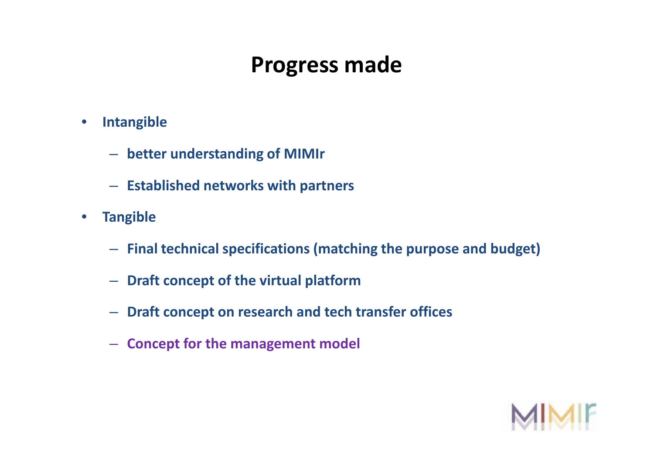# **Progress made**

- **Intangible**
	- **better understanding of MIMIr better**
	- **Established networks with partners**
- **Tangible**
	- **Final technical specifications (matching the purpose and budget)**
	- **Draft concept of the virtual platform**
- **Draft concept on research and tech transfer offices Established networks with partners<br>Final technical specifications (matching the<br>Draft concept of the virtual platform<br>Draft concept on research and tech transfer<br>Concept for the management model** 
	- **Concept for the management model**

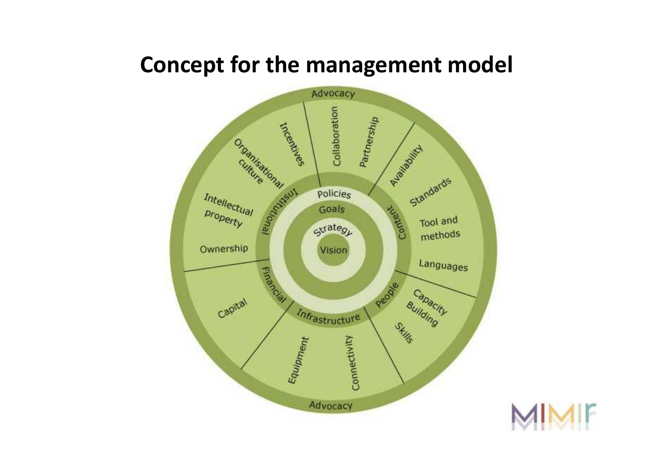#### **Concept for the management model**



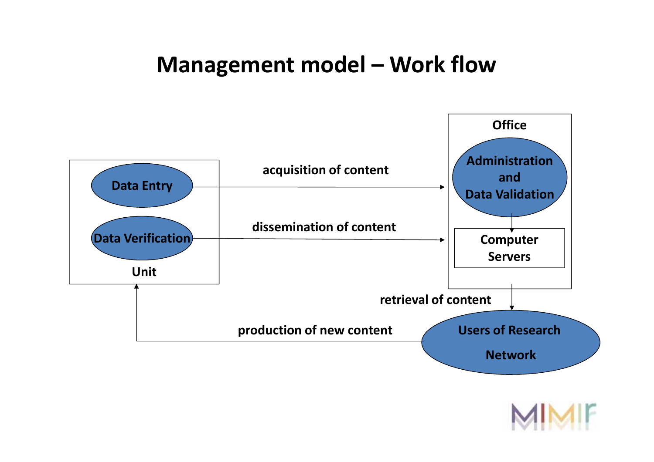#### **Management model – Work flow**



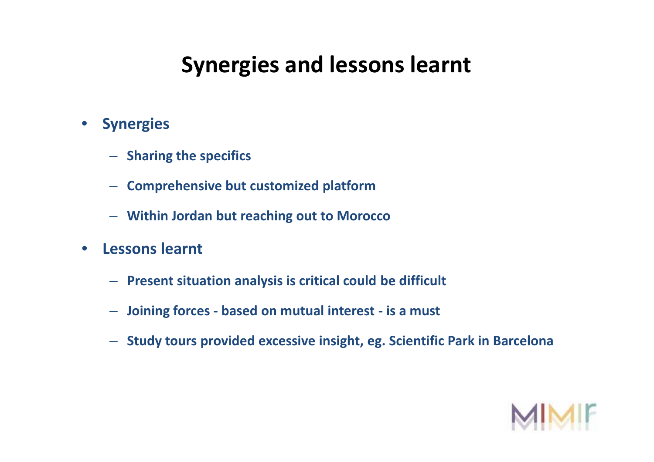# **Synergies and lessons learnt**

- **Synergies**
	- $-$  Sharing the specifics
	- **Comprehensive but customized platform** –**Comprehensive**
	- **Within Jordan but reaching out to Morocco** –**Within to Morocco**
- **Lessons learnt**
	- **Present situation analysis is critical could be difficult** –**Present**
	- **Joining forces - based on mutual interest - is a must** –**Joining mutual**
	- **Study tours provided excessive insight, eg. Scientific Park in Barcelona** –**Study in Barcelona**

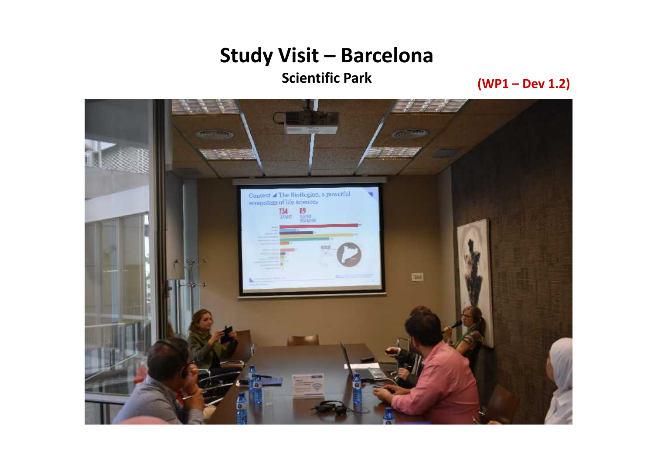**Scientific Park (WP1 – Dev 1.2)**

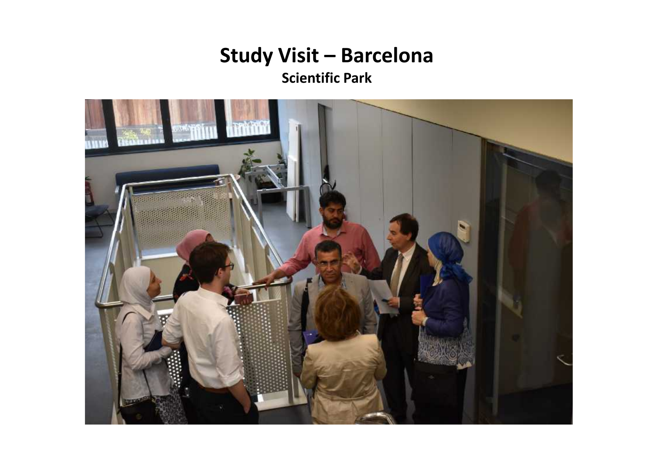**Scientific Park**

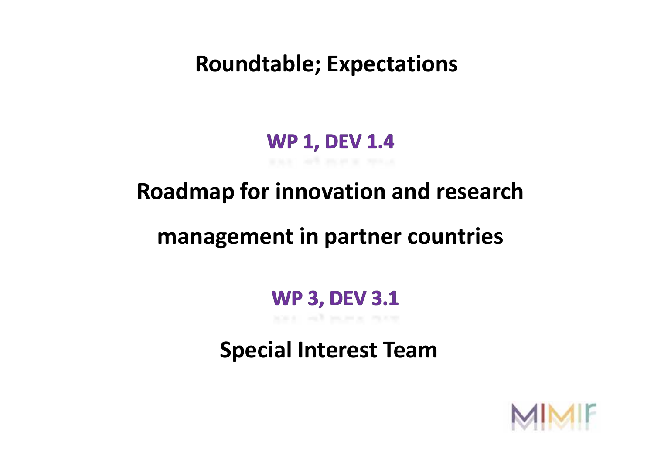**Roundtable; Expectations**

# **WP 1, DEV 1.4**

# **Roadmap for innovation and research**

# **management in partner countries**

#### **WP 3, DEV 3.1**

**Special Interest Team**